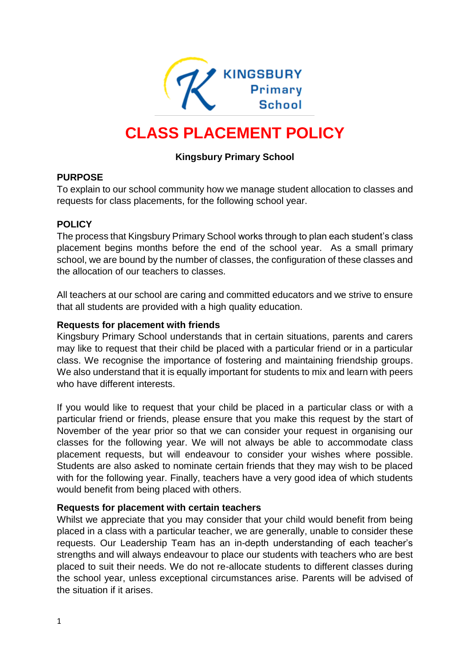

# **CLASS PLACEMENT POLICY**

# **Kingsbury Primary School**

#### **PURPOSE**

To explain to our school community how we manage student allocation to classes and requests for class placements, for the following school year.

#### **POLICY**

The process that Kingsbury Primary School works through to plan each student's class placement begins months before the end of the school year. As a small primary school, we are bound by the number of classes, the configuration of these classes and the allocation of our teachers to classes.

All teachers at our school are caring and committed educators and we strive to ensure that all students are provided with a high quality education.

#### **Requests for placement with friends**

Kingsbury Primary School understands that in certain situations, parents and carers may like to request that their child be placed with a particular friend or in a particular class. We recognise the importance of fostering and maintaining friendship groups. We also understand that it is equally important for students to mix and learn with peers who have different interests.

If you would like to request that your child be placed in a particular class or with a particular friend or friends, please ensure that you make this request by the start of November of the year prior so that we can consider your request in organising our classes for the following year. We will not always be able to accommodate class placement requests, but will endeavour to consider your wishes where possible. Students are also asked to nominate certain friends that they may wish to be placed with for the following year. Finally, teachers have a very good idea of which students would benefit from being placed with others.

#### **Requests for placement with certain teachers**

Whilst we appreciate that you may consider that your child would benefit from being placed in a class with a particular teacher, we are generally, unable to consider these requests. Our Leadership Team has an in-depth understanding of each teacher's strengths and will always endeavour to place our students with teachers who are best placed to suit their needs. We do not re-allocate students to different classes during the school year, unless exceptional circumstances arise. Parents will be advised of the situation if it arises.